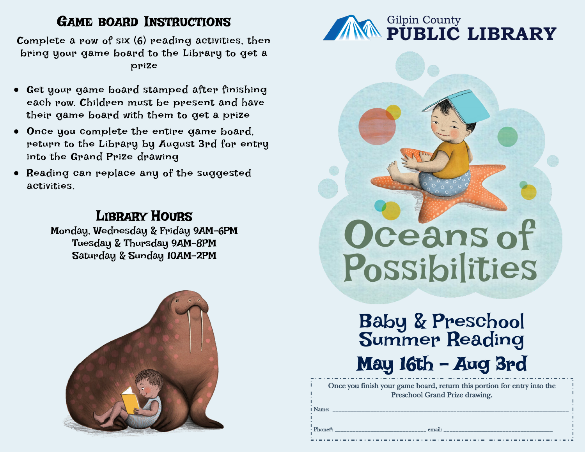## GAME BOARD INSTRUCTIONS

Complete a row of six  $(6)$  reading activities, then bring your game board to the Library to get a prize

- Get your game board stamped after finishing each row. Children must be present and have their game board with them to get a prize
- Once you complete the entire game board, return to the Library by August 3rd for entry into the Grand Prize drawing
- Reading can replace any of the suggested activities.

## LIBRARY HOURS

Monday, Wednesday & Friday 9AM-6PM Tuesday & Thursday 9AM-8PM Saturday & Sunday 10AM-2PM





## Oceans of Possibilities

May 16th - Aug 3rd Baby & Preschool Summer Reading

*Once you finish your game board, return this portion for entry into the Preschool Grand Prize drawing.* 

Name: \_\_\_\_\_\_\_\_\_\_\_\_\_\_\_\_\_\_\_\_\_\_\_\_\_\_\_\_\_\_\_\_\_\_\_\_\_\_\_\_\_\_\_\_\_\_\_\_\_\_\_\_\_\_\_\_\_\_\_\_\_\_\_\_\_\_\_\_\_\_\_\_\_\_\_\_\_\_\_\_

Phone#: \_\_\_\_\_\_\_\_\_\_\_\_\_\_\_\_\_\_\_\_\_\_\_\_\_\_\_\_\_\_\_ email: \_\_\_\_\_\_\_\_\_\_\_\_\_\_\_\_\_\_\_\_\_\_\_\_\_\_\_\_\_\_\_\_\_\_\_\_\_